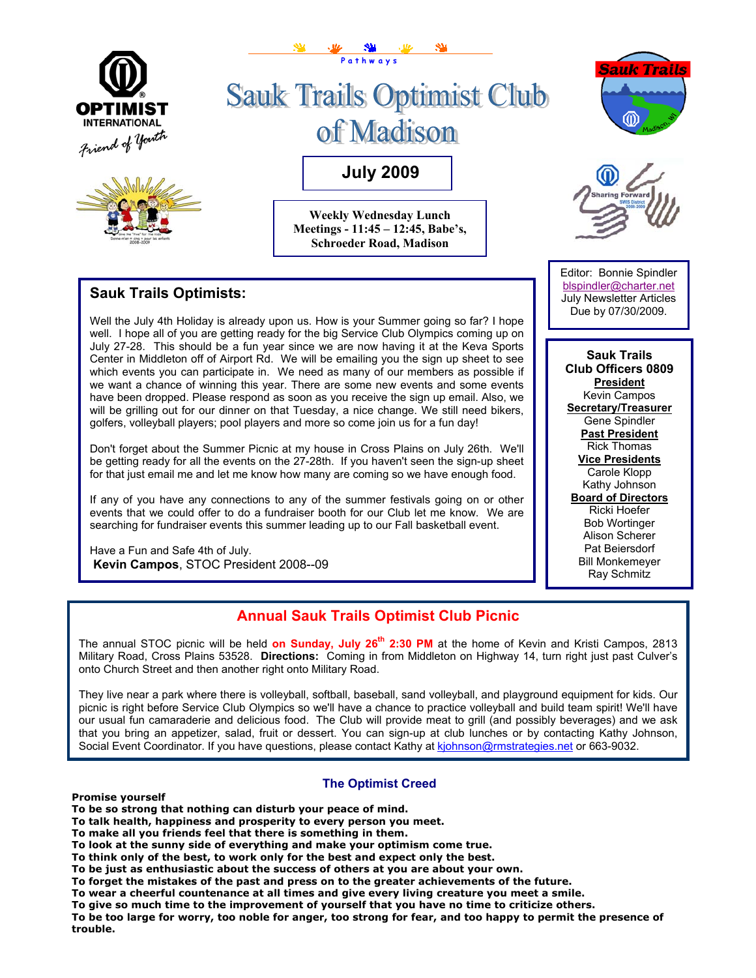

## **Sauk Trails Optimists:**

Well the July 4th Holiday is already upon us. How is your Summer going so far? I hope well. I hope all of you are getting ready for the big Service Club Olympics coming up on July 27-28. This should be a fun year since we are now having it at the Keva Sports Center in Middleton off of Airport Rd. We will be emailing you the sign up sheet to see which events you can participate in. We need as many of our members as possible if we want a chance of winning this year. There are some new events and some events have been dropped. Please respond as soon as you receive the sign up email. Also, we will be grilling out for our dinner on that Tuesday, a nice change. We still need bikers, golfers, volleyball players; pool players and more so come join us for a fun day!

Don't forget about the Summer Picnic at my house in Cross Plains on July 26th. We'll be getting ready for all the events on the 27-28th. If you haven't seen the sign-up sheet for that just email me and let me know how many are coming so we have enough food.

If any of you have any connections to any of the summer festivals going on or other events that we could offer to do a fundraiser booth for our Club let me know. We are searching for fundraiser events this summer leading up to our Fall basketball event.

Have a Fun and Safe 4th of July.  **Kevin Campos**, STOC President 2008--09

#### Editor: Bonnie Spindler blspindler@charter.net July Newsletter Articles Due by 07/30/2009.

**Sauk Trails Club Officers 0809 President** Kevin Campos **Secretary/Treasurer** Gene Spindler **Past President** Rick Thomas **Vice Presidents** Carole Klopp Kathy Johnson **Board of Directors** Ricki Hoefer Bob Wortinger Alison Scherer Pat Beiersdorf Bill Monkemeyer Ray Schmitz

## **Annual Sauk Trails Optimist Club Picnic**

The annual STOC picnic will be held on Sunday, July 26<sup>th</sup> 2:30 PM at the home of Kevin and Kristi Campos, 2813 Military Road, Cross Plains 53528. **Directions:** Coming in from Middleton on Highway 14, turn right just past Culver's onto Church Street and then another right onto Military Road.

They live near a park where there is volleyball, softball, baseball, sand volleyball, and playground equipment for kids. Our picnic is right before Service Club Olympics so we'll have a chance to practice volleyball and build team spirit! We'll have our usual fun camaraderie and delicious food. The Club will provide meat to grill (and possibly beverages) and we ask that you bring an appetizer, salad, fruit or dessert. You can sign-up at club lunches or by contacting Kathy Johnson, Social Event Coordinator. If you have questions, please contact Kathy [at kjohnson@rmstrategi](mailto:kjohnson@rmstrategies.net)es.net or 663-9032.

**The Optimist Creed** 

#### **Promise yourself**

**To be so strong that nothing can disturb your peace of mind.** 

**To talk health, happiness and prosperity to every person you meet.** 

- **To make all you friends feel that there is something in them.**
- **To look at the sunny side of everything and make your optimism come true.**

**To think only of the best, to work only for the best and expect only the best.** 

**To be just as enthusiastic about the success of others at you are about your own.** 

**To forget the mistakes of the past and press on to the greater achievements of the future.** 

**To wear a cheerful countenance at all times and give every living creature you meet a smile.**

**To give so much time to the improvement of yourself that you have no time to criticize others.** 

**To be too large for worry, too noble for anger, too strong for fear, and too happy to permit the presence of trouble.**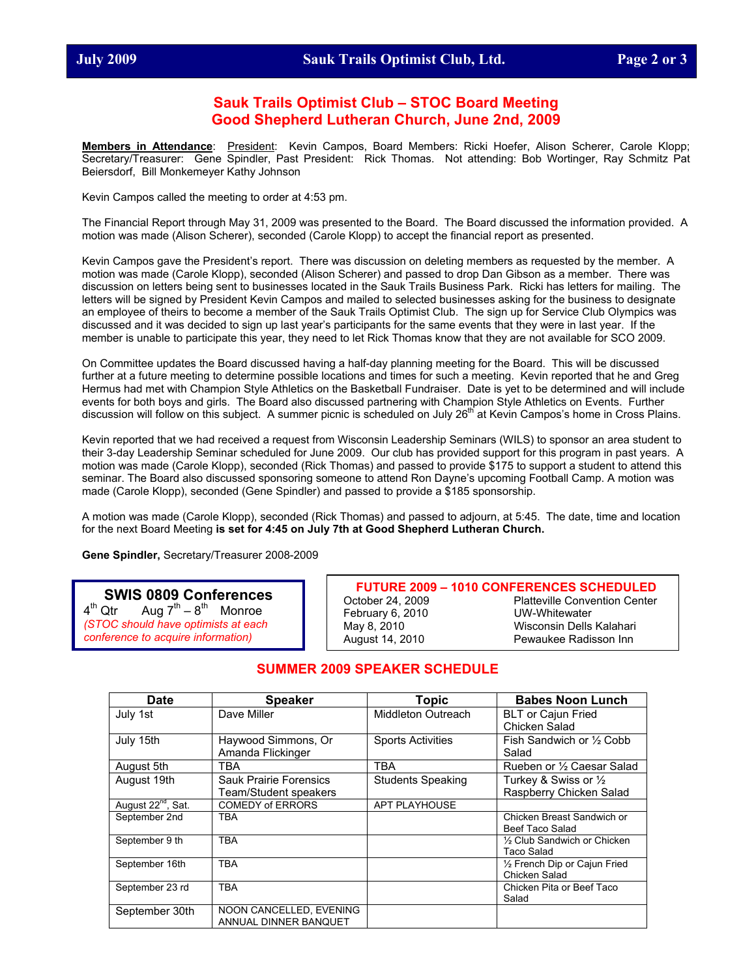#### **Sauk Trails Optimist Club – STOC Board Meeting Good Shepherd Lutheran Church, June 2nd, 2009**

**Members in Attendance**: President: Kevin Campos, Board Members: Ricki Hoefer, Alison Scherer, Carole Klopp; Secretary/Treasurer: Gene Spindler, Past President: Rick Thomas. Not attending: Bob Wortinger, Ray Schmitz Pat Beiersdorf, Bill Monkemeyer Kathy Johnson

Kevin Campos called the meeting to order at 4:53 pm.

The Financial Report through May 31, 2009 was presented to the Board. The Board discussed the information provided. A motion was made (Alison Scherer), seconded (Carole Klopp) to accept the financial report as presented.

Kevin Campos gave the President's report. There was discussion on deleting members as requested by the member. A motion was made (Carole Klopp), seconded (Alison Scherer) and passed to drop Dan Gibson as a member. There was discussion on letters being sent to businesses located in the Sauk Trails Business Park. Ricki has letters for mailing. The letters will be signed by President Kevin Campos and mailed to selected businesses asking for the business to designate an employee of theirs to become a member of the Sauk Trails Optimist Club. The sign up for Service Club Olympics was discussed and it was decided to sign up last year's participants for the same events that they were in last year. If the member is unable to participate this year, they need to let Rick Thomas know that they are not available for SCO 2009.

On Committee updates the Board discussed having a half-day planning meeting for the Board. This will be discussed further at a future meeting to determine possible locations and times for such a meeting. Kevin reported that he and Greg Hermus had met with Champion Style Athletics on the Basketball Fundraiser. Date is yet to be determined and will include events for both boys and girls. The Board also discussed partnering with Champion Style Athletics on Events. Further discussion will follow on this subject. A summer picnic is scheduled on July 26<sup>th</sup> at Kevin Campos's home in Cross Plains.

Kevin reported that we had received a request from Wisconsin Leadership Seminars (WILS) to sponsor an area student to their 3-day Leadership Seminar scheduled for June 2009. Our club has provided support for this program in past years. A motion was made (Carole Klopp), seconded (Rick Thomas) and passed to provide \$175 to support a student to attend this seminar. The Board also discussed sponsoring someone to attend Ron Dayne's upcoming Football Camp. A motion was made (Carole Klopp), seconded (Gene Spindler) and passed to provide a \$185 sponsorship.

A motion was made (Carole Klopp), seconded (Rick Thomas) and passed to adjourn, at 5:45. The date, time and location for the next Board Meeting **is set for 4:45 on July 7th at Good Shepherd Lutheran Church.** 

**Gene Spindler,** Secretary/Treasurer 2008-2009

#### **SWIS 0809 Conferences**<br><sup>4th</sup> Qtr Aug 7<sup>th</sup> - 8<sup>th</sup> Monroe Aug  $7^{th} - 8^{th}$  Monroe *(STOC should have optimists at each conference to acquire information)*

**FUTURE 2009 – 1010 CONFERENCES SCHEDULED**  October 24, 2009 Platteville Convention Center February 6, 2010 UW-Whitewater May 8, 2010 Wisconsin Dells Kalahari August 14, 2010 Pewaukee Radisson Inn

#### **SUMMER 2009 SPEAKER SCHEDULE**

| Date                           | <b>Speaker</b>          | <b>Topic</b>             | <b>Babes Noon Lunch</b>         |
|--------------------------------|-------------------------|--------------------------|---------------------------------|
| July 1st                       | Dave Miller             | Middleton Outreach       | <b>BLT</b> or Cajun Fried       |
|                                |                         |                          | Chicken Salad                   |
| July 15th                      | Haywood Simmons, Or     | <b>Sports Activities</b> | Fish Sandwich or 1/2 Cobb       |
|                                | Amanda Flickinger       |                          | Salad                           |
| August 5th                     | TBA                     | TBA                      | Rueben or 1/2 Caesar Salad      |
| August 19th                    | Sauk Prairie Forensics  | <b>Students Speaking</b> | Turkey & Swiss or $\frac{1}{2}$ |
|                                | Team/Student speakers   |                          | Raspberry Chicken Salad         |
| August 22 <sup>nd</sup> , Sat. | <b>COMEDY of ERRORS</b> | <b>APT PLAYHOUSE</b>     |                                 |
| September 2nd                  | TBA                     |                          | Chicken Breast Sandwich or      |
|                                |                         |                          | Beef Taco Salad                 |
| September 9 th                 | TBA                     |                          | 1/2 Club Sandwich or Chicken    |
|                                |                         |                          | Taco Salad                      |
| September 16th                 | TBA                     |                          | 1/2 French Dip or Cajun Fried   |
|                                |                         |                          | Chicken Salad                   |
| September 23 rd                | TBA                     |                          | Chicken Pita or Beef Taco       |
|                                |                         |                          | Salad                           |
| September 30th                 | NOON CANCELLED, EVENING |                          |                                 |
|                                | ANNUAL DINNER BANOUET   |                          |                                 |